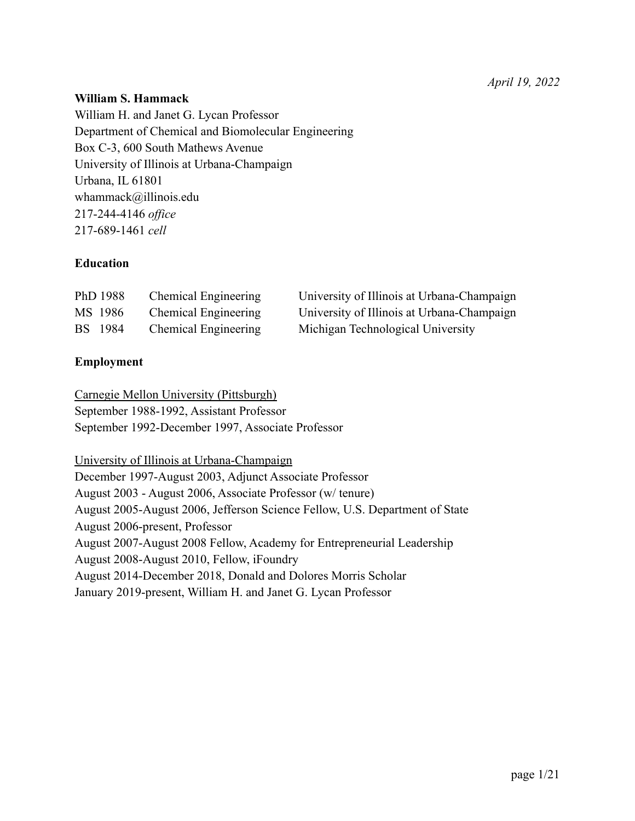# **William S. Hammack**

William H. and Janet G. Lycan Professor Department of Chemical and Biomolecular Engineering Box C-3, 600 South Mathews Avenue University of Illinois at Urbana-Champaign Urbana, IL 61801 whammack@illinois.edu 217-244-4146 *office* 217-689-1461 *cell*

# **Education**

| PhD 1988       | <b>Chemical Engineering</b> | University of Illinois at Urbana-Champaign |
|----------------|-----------------------------|--------------------------------------------|
| MS 1986        | <b>Chemical Engineering</b> | University of Illinois at Urbana-Champaign |
| <b>BS</b> 1984 | <b>Chemical Engineering</b> | Michigan Technological University          |

### **Employment**

Carnegie Mellon University (Pittsburgh) September 1988-1992, Assistant Professor September 1992-December 1997, Associate Professor

University of Illinois at Urbana-Champaign December 1997-August 2003, Adjunct Associate Professor August 2003 - August 2006, Associate Professor (w/ tenure) August 2005-August 2006, Jefferson Science Fellow, U.S. Department of State August 2006-present, Professor August 2007-August 2008 Fellow, Academy for Entrepreneurial Leadership August 2008-August 2010, Fellow, iFoundry August 2014-December 2018, Donald and Dolores Morris Scholar January 2019-present, William H. and Janet G. Lycan Professor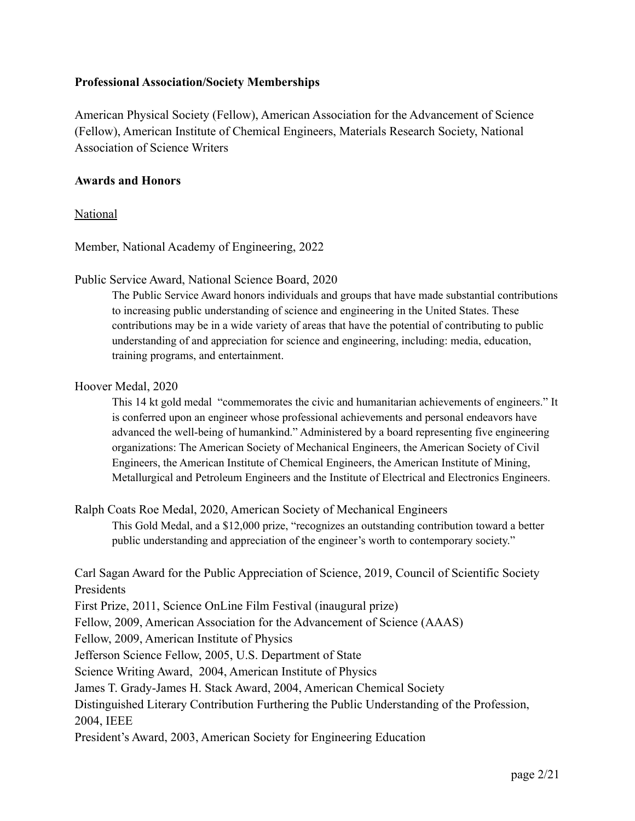### **Professional Association/Society Memberships**

American Physical Society (Fellow), American Association for the Advancement of Science (Fellow), American Institute of Chemical Engineers, Materials Research Society, National Association of Science Writers

### **Awards and Honors**

### National

Member, National Academy of Engineering, 2022

Public Service Award, National Science Board, 2020

The Public Service Award honors individuals and groups that have made substantial contributions to increasing public understanding of science and engineering in the United States. These contributions may be in a wide variety of areas that have the potential of contributing to public understanding of and appreciation for science and engineering, including: media, education, training programs, and entertainment.

#### Hoover Medal, 2020

This 14 kt gold medal "commemorates the civic and humanitarian achievements of engineers." It is conferred upon an engineer whose professional achievements and personal endeavors have advanced the well-being of humankind." Administered by a board representing five engineering organizations: The American Society of Mechanical Engineers, the American Society of Civil Engineers, the American Institute of Chemical Engineers, the American Institute of Mining, Metallurgical and Petroleum Engineers and the Institute of Electrical and Electronics Engineers.

Ralph Coats Roe Medal, 2020, American Society of Mechanical Engineers This Gold Medal, and a \$12,000 prize, "recognizes an outstanding contribution toward a better public understanding and appreciation of the engineer's worth to contemporary society."

Carl Sagan Award for the Public Appreciation of Science, 2019, Council of Scientific Society **Presidents** 

First Prize, 2011, Science OnLine Film Festival (inaugural prize)

Fellow, 2009, American Association for the Advancement of Science (AAAS)

Fellow, 2009, American Institute of Physics

Jefferson Science Fellow, 2005, U.S. Department of State

Science Writing Award, 2004, American Institute of Physics

James T. Grady-James H. Stack Award, 2004, American Chemical Society

Distinguished Literary Contribution Furthering the Public Understanding of the Profession, 2004, IEEE

President's Award, 2003, American Society for Engineering Education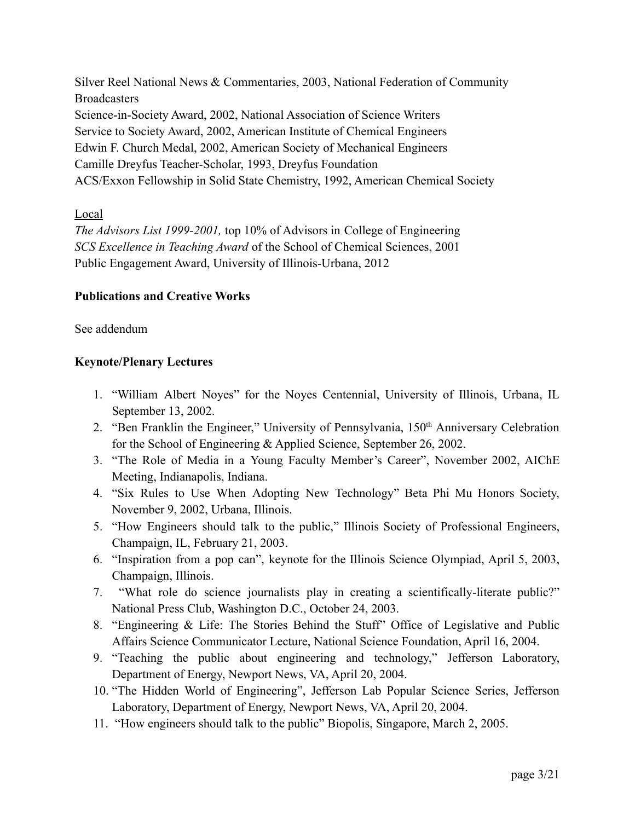Silver Reel National News & Commentaries, 2003, National Federation of Community **Broadcasters** Science-in-Society Award, 2002, National Association of Science Writers Service to Society Award, 2002, American Institute of Chemical Engineers Edwin F. Church Medal, 2002, American Society of Mechanical Engineers Camille Dreyfus Teacher-Scholar, 1993, Dreyfus Foundation ACS/Exxon Fellowship in Solid State Chemistry, 1992, American Chemical Society

### Local

*The Advisors List 1999-2001,* top 10% of Advisors in College of Engineering *SCS Excellence in Teaching Award* of the School of Chemical Sciences, 2001 Public Engagement Award, University of Illinois-Urbana, 2012

### **Publications and Creative Works**

#### See addendum

### **Keynote/Plenary Lectures**

- 1. "William Albert Noyes" for the Noyes Centennial, University of Illinois, Urbana, IL September 13, 2002.
- 2. "Ben Franklin the Engineer," University of Pennsylvania, 150<sup>th</sup> Anniversary Celebration for the School of Engineering & Applied Science, September 26, 2002.
- 3. "The Role of Media in a Young Faculty Member's Career", November 2002, AIChE Meeting, Indianapolis, Indiana.
- 4. "Six Rules to Use When Adopting New Technology" Beta Phi Mu Honors Society, November 9, 2002, Urbana, Illinois.
- 5. "How Engineers should talk to the public," Illinois Society of Professional Engineers, Champaign, IL, February 21, 2003.
- 6. "Inspiration from a pop can", keynote for the Illinois Science Olympiad, April 5, 2003, Champaign, Illinois.
- 7. "What role do science journalists play in creating a scientifically-literate public?" National Press Club, Washington D.C., October 24, 2003.
- 8. "Engineering & Life: The Stories Behind the Stuff" Office of Legislative and Public Affairs Science Communicator Lecture, National Science Foundation, April 16, 2004.
- 9. "Teaching the public about engineering and technology," Jefferson Laboratory, Department of Energy, Newport News, VA, April 20, 2004.
- 10. "The Hidden World of Engineering", Jefferson Lab Popular Science Series, Jefferson Laboratory, Department of Energy, Newport News, VA, April 20, 2004.
- 11. "How engineers should talk to the public" Biopolis, Singapore, March 2, 2005.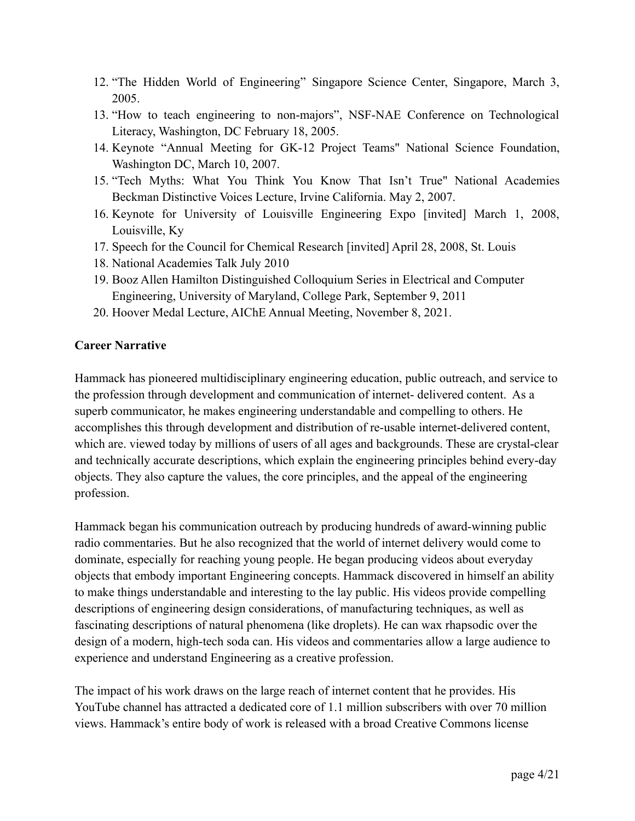- 12. "The Hidden World of Engineering" Singapore Science Center, Singapore, March 3, 2005.
- 13. "How to teach engineering to non-majors", NSF-NAE Conference on Technological Literacy, Washington, DC February 18, 2005.
- 14. Keynote "Annual Meeting for GK-12 Project Teams" National Science Foundation, Washington DC, March 10, 2007.
- 15. "Tech Myths: What You Think You Know That Isn't True" National Academies Beckman Distinctive Voices Lecture, Irvine California. May 2, 2007.
- 16. Keynote for University of Louisville Engineering Expo [invited] March 1, 2008, Louisville, Ky
- 17. Speech for the Council for Chemical Research [invited] April 28, 2008, St. Louis
- 18. National Academies Talk July 2010
- 19. Booz Allen Hamilton Distinguished Colloquium Series in Electrical and Computer Engineering, University of Maryland, College Park, September 9, 2011
- 20. Hoover Medal Lecture, AIChE Annual Meeting, November 8, 2021.

# **Career Narrative**

Hammack has pioneered multidisciplinary engineering education, public outreach, and service to the profession through development and communication of internet- delivered content. As a superb communicator, he makes engineering understandable and compelling to others. He accomplishes this through development and distribution of re-usable internet-delivered content, which are. viewed today by millions of users of all ages and backgrounds. These are crystal-clear and technically accurate descriptions, which explain the engineering principles behind every-day objects. They also capture the values, the core principles, and the appeal of the engineering profession.

Hammack began his communication outreach by producing hundreds of award-winning public radio commentaries. But he also recognized that the world of internet delivery would come to dominate, especially for reaching young people. He began producing videos about everyday objects that embody important Engineering concepts. Hammack discovered in himself an ability to make things understandable and interesting to the lay public. His videos provide compelling descriptions of engineering design considerations, of manufacturing techniques, as well as fascinating descriptions of natural phenomena (like droplets). He can wax rhapsodic over the design of a modern, high-tech soda can. His videos and commentaries allow a large audience to experience and understand Engineering as a creative profession.

The impact of his work draws on the large reach of internet content that he provides. His YouTube channel has attracted a dedicated core of 1.1 million subscribers with over 70 million views. Hammack's entire body of work is released with a broad Creative Commons license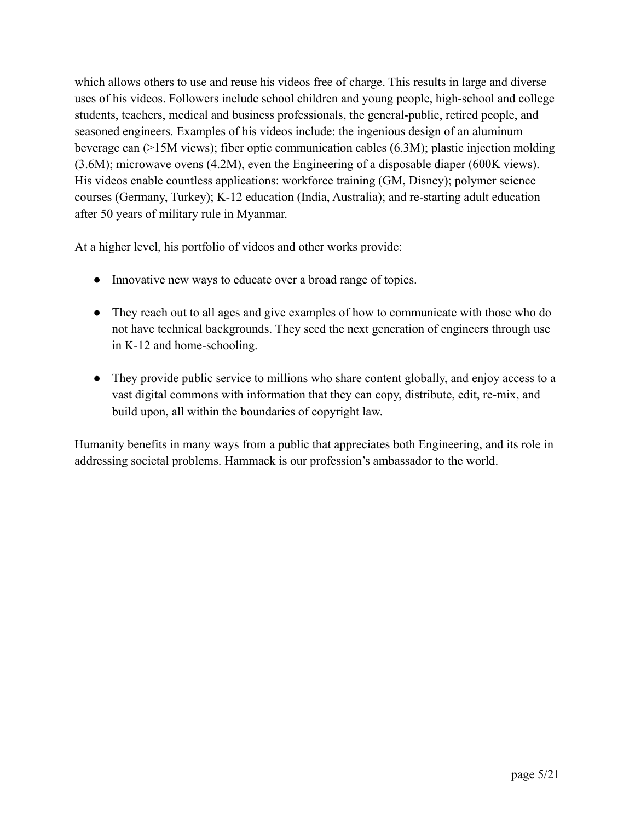which allows others to use and reuse his videos free of charge. This results in large and diverse uses of his videos. Followers include school children and young people, high-school and college students, teachers, medical and business professionals, the general-public, retired people, and seasoned engineers. Examples of his videos include: the ingenious design of an aluminum beverage can (>15M views); fiber optic communication cables (6.3M); plastic injection molding (3.6M); microwave ovens (4.2M), even the Engineering of a disposable diaper (600K views). His videos enable countless applications: workforce training (GM, Disney); polymer science courses (Germany, Turkey); K-12 education (India, Australia); and re-starting adult education after 50 years of military rule in Myanmar.

At a higher level, his portfolio of videos and other works provide:

- Innovative new ways to educate over a broad range of topics.
- They reach out to all ages and give examples of how to communicate with those who do not have technical backgrounds. They seed the next generation of engineers through use in K-12 and home-schooling.
- They provide public service to millions who share content globally, and enjoy access to a vast digital commons with information that they can copy, distribute, edit, re-mix, and build upon, all within the boundaries of copyright law.

Humanity benefits in many ways from a public that appreciates both Engineering, and its role in addressing societal problems. Hammack is our profession's ambassador to the world.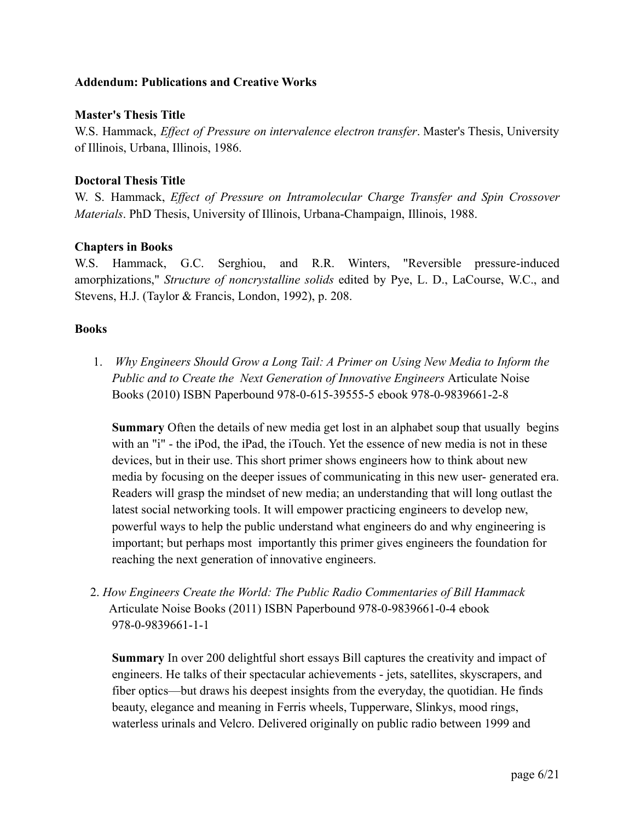### **Addendum: Publications and Creative Works**

### **Master's Thesis Title**

W.S. Hammack, *Effect of Pressure on intervalence electron transfer*. Master's Thesis, University of Illinois, Urbana, Illinois, 1986.

### **Doctoral Thesis Title**

W. S. Hammack, *Effect of Pressure on Intramolecular Charge Transfer and Spin Crossover Materials*. PhD Thesis, University of Illinois, Urbana-Champaign, Illinois, 1988.

### **Chapters in Books**

W.S. Hammack, G.C. Serghiou, and R.R. Winters, "Reversible pressure-induced amorphizations," *Structure of noncrystalline solids* edited by Pye, L. D., LaCourse, W.C., and Stevens, H.J. (Taylor & Francis, London, 1992), p. 208.

#### **Books**

1. *Why Engineers Should Grow a Long Tail: A Primer on Using New Media to Inform the Public and to Create the Next Generation of Innovative Engineers* Articulate Noise Books (2010) ISBN Paperbound 978-0-615-39555-5 ebook 978-0-9839661-2-8

**Summary** Often the details of new media get lost in an alphabet soup that usually begins with an "i" - the iPod, the iPad, the iTouch. Yet the essence of new media is not in these devices, but in their use. This short primer shows engineers how to think about new media by focusing on the deeper issues of communicating in this new user- generated era. Readers will grasp the mindset of new media; an understanding that will long outlast the latest social networking tools. It will empower practicing engineers to develop new, powerful ways to help the public understand what engineers do and why engineering is important; but perhaps most importantly this primer gives engineers the foundation for reaching the next generation of innovative engineers.

2. *How Engineers Create the World: The Public Radio Commentaries of Bill Hammack* Articulate Noise Books (2011) ISBN Paperbound 978-0-9839661-0-4 ebook 978-0-9839661-1-1

**Summary** In over 200 delightful short essays Bill captures the creativity and impact of engineers. He talks of their spectacular achievements - jets, satellites, skyscrapers, and fiber optics—but draws his deepest insights from the everyday, the quotidian. He finds beauty, elegance and meaning in Ferris wheels, Tupperware, Slinkys, mood rings, waterless urinals and Velcro. Delivered originally on public radio between 1999 and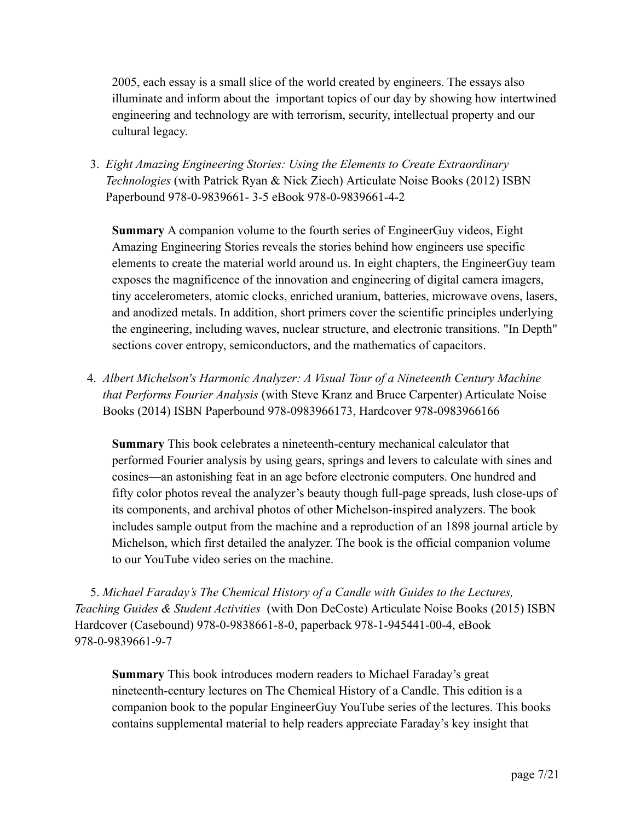2005, each essay is a small slice of the world created by engineers. The essays also illuminate and inform about the important topics of our day by showing how intertwined engineering and technology are with terrorism, security, intellectual property and our cultural legacy.

3. *Eight Amazing Engineering Stories: Using the Elements to Create Extraordinary Technologies* (with Patrick Ryan & Nick Ziech) Articulate Noise Books (2012) ISBN Paperbound 978-0-9839661- 3-5 eBook 978-0-9839661-4-2

**Summary** A companion volume to the fourth series of EngineerGuy videos, Eight Amazing Engineering Stories reveals the stories behind how engineers use specific elements to create the material world around us. In eight chapters, the EngineerGuy team exposes the magnificence of the innovation and engineering of digital camera imagers, tiny accelerometers, atomic clocks, enriched uranium, batteries, microwave ovens, lasers, and anodized metals. In addition, short primers cover the scientific principles underlying the engineering, including waves, nuclear structure, and electronic transitions. "In Depth" sections cover entropy, semiconductors, and the mathematics of capacitors.

4. *Albert Michelson's Harmonic Analyzer: A Visual Tour of a Nineteenth Century Machine that Performs Fourier Analysis* (with Steve Kranz and Bruce Carpenter) Articulate Noise Books (2014) ISBN Paperbound 978-0983966173, Hardcover 978-0983966166

**Summary** This book celebrates a nineteenth-century mechanical calculator that performed Fourier analysis by using gears, springs and levers to calculate with sines and cosines—an astonishing feat in an age before electronic computers. One hundred and fifty color photos reveal the analyzer's beauty though full-page spreads, lush close-ups of its components, and archival photos of other Michelson-inspired analyzers. The book includes sample output from the machine and a reproduction of an 1898 journal article by Michelson, which first detailed the analyzer. The book is the official companion volume to our YouTube video series on the machine.

5. *Michael Faraday's The Chemical History of a Candle with Guides to the Lectures, Teaching Guides & Student Activities* (with Don DeCoste) Articulate Noise Books (2015) ISBN Hardcover (Casebound) 978-0-9838661-8-0, paperback 978-1-945441-00-4, eBook 978-0-9839661-9-7

**Summary** This book introduces modern readers to Michael Faraday's great nineteenth-century lectures on The Chemical History of a Candle. This edition is a companion book to the popular EngineerGuy YouTube series of the lectures. This books contains supplemental material to help readers appreciate Faraday's key insight that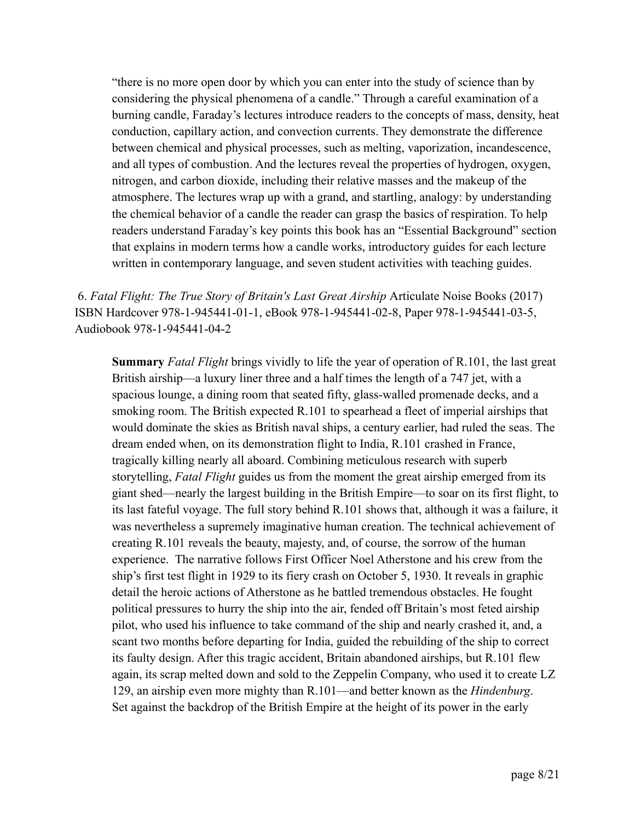"there is no more open door by which you can enter into the study of science than by considering the physical phenomena of a candle." Through a careful examination of a burning candle, Faraday's lectures introduce readers to the concepts of mass, density, heat conduction, capillary action, and convection currents. They demonstrate the difference between chemical and physical processes, such as melting, vaporization, incandescence, and all types of combustion. And the lectures reveal the properties of hydrogen, oxygen, nitrogen, and carbon dioxide, including their relative masses and the makeup of the atmosphere. The lectures wrap up with a grand, and startling, analogy: by understanding the chemical behavior of a candle the reader can grasp the basics of respiration. To help readers understand Faraday's key points this book has an "Essential Background" section that explains in modern terms how a candle works, introductory guides for each lecture written in contemporary language, and seven student activities with teaching guides.

6. *Fatal Flight: The True Story of Britain's Last Great Airship* Articulate Noise Books (2017) ISBN Hardcover 978-1-945441-01-1, eBook 978-1-945441-02-8, Paper 978-1-945441-03-5, Audiobook 978-1-945441-04-2

**Summary** *Fatal Flight* brings vividly to life the year of operation of R.101, the last great British airship—a luxury liner three and a half times the length of a 747 jet, with a spacious lounge, a dining room that seated fifty, glass-walled promenade decks, and a smoking room. The British expected R.101 to spearhead a fleet of imperial airships that would dominate the skies as British naval ships, a century earlier, had ruled the seas. The dream ended when, on its demonstration flight to India, R.101 crashed in France, tragically killing nearly all aboard. Combining meticulous research with superb storytelling, *Fatal Flight* guides us from the moment the great airship emerged from its giant shed—nearly the largest building in the British Empire—to soar on its first flight, to its last fateful voyage. The full story behind R.101 shows that, although it was a failure, it was nevertheless a supremely imaginative human creation. The technical achievement of creating R.101 reveals the beauty, majesty, and, of course, the sorrow of the human experience. The narrative follows First Officer Noel Atherstone and his crew from the ship's first test flight in 1929 to its fiery crash on October 5, 1930. It reveals in graphic detail the heroic actions of Atherstone as he battled tremendous obstacles. He fought political pressures to hurry the ship into the air, fended off Britain's most feted airship pilot, who used his influence to take command of the ship and nearly crashed it, and, a scant two months before departing for India, guided the rebuilding of the ship to correct its faulty design. After this tragic accident, Britain abandoned airships, but R.101 flew again, its scrap melted down and sold to the Zeppelin Company, who used it to create LZ 129, an airship even more mighty than R.101—and better known as the *Hindenburg*. Set against the backdrop of the British Empire at the height of its power in the early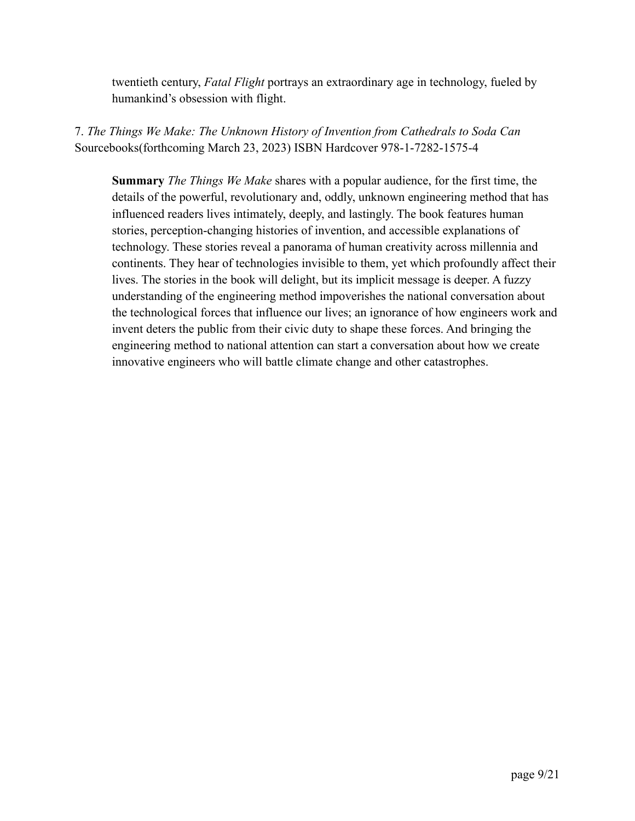twentieth century, *Fatal Flight* portrays an extraordinary age in technology, fueled by humankind's obsession with flight.

7. *The Things We Make: The Unknown History of Invention from Cathedrals to Soda Can* Sourcebooks(forthcoming March 23, 2023) ISBN Hardcover 978-1-7282-1575-4

**Summary** *The Things We Make* shares with a popular audience, for the first time, the details of the powerful, revolutionary and, oddly, unknown engineering method that has influenced readers lives intimately, deeply, and lastingly. The book features human stories, perception-changing histories of invention, and accessible explanations of technology. These stories reveal a panorama of human creativity across millennia and continents. They hear of technologies invisible to them, yet which profoundly affect their lives. The stories in the book will delight, but its implicit message is deeper. A fuzzy understanding of the engineering method impoverishes the national conversation about the technological forces that influence our lives; an ignorance of how engineers work and invent deters the public from their civic duty to shape these forces. And bringing the engineering method to national attention can start a conversation about how we create innovative engineers who will battle climate change and other catastrophes.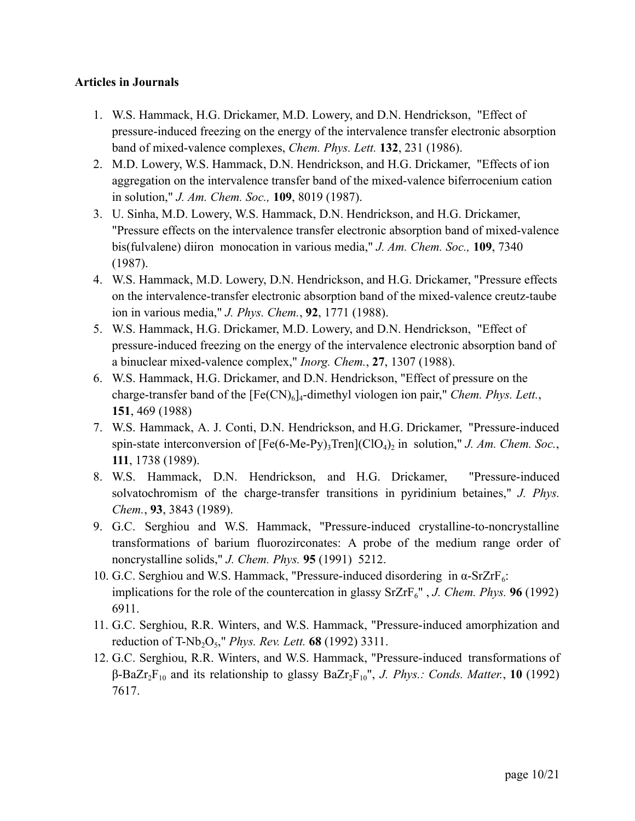# **Articles in Journals**

- 1. W.S. Hammack, H.G. Drickamer, M.D. Lowery, and D.N. Hendrickson, "Effect of pressure-induced freezing on the energy of the intervalence transfer electronic absorption band of mixed-valence complexes, *Chem. Phys. Lett.* **132**, 231 (1986).
- 2. M.D. Lowery, W.S. Hammack, D.N. Hendrickson, and H.G. Drickamer, "Effects of ion aggregation on the intervalence transfer band of the mixed-valence biferrocenium cation in solution," *J. Am. Chem. Soc.,* **109**, 8019 (1987).
- 3. U. Sinha, M.D. Lowery, W.S. Hammack, D.N. Hendrickson, and H.G. Drickamer, "Pressure effects on the intervalence transfer electronic absorption band of mixed-valence bis(fulvalene) diiron monocation in various media," *J. Am. Chem. Soc.,* **109**, 7340 (1987).
- 4. W.S. Hammack, M.D. Lowery, D.N. Hendrickson, and H.G. Drickamer, "Pressure effects on the intervalence-transfer electronic absorption band of the mixed-valence creutz-taube ion in various media," *J. Phys. Chem.*, **92**, 1771 (1988).
- 5. W.S. Hammack, H.G. Drickamer, M.D. Lowery, and D.N. Hendrickson, "Effect of pressure-induced freezing on the energy of the intervalence electronic absorption band of a binuclear mixed-valence complex," *Inorg. Chem.*, **27**, 1307 (1988).
- 6. W.S. Hammack, H.G. Drickamer, and D.N. Hendrickson, "Effect of pressure on the charge-transfer band of the  $[Fe(CN)_6]_4$ -dimethyl viologen ion pair," *Chem. Phys. Lett.*, **151**, 469 (1988)
- 7. W.S. Hammack, A. J. Conti, D.N. Hendrickson, and H.G. Drickamer, "Pressure-induced spin-state interconversion of [Fe(6-Me-Py)<sub>3</sub>Tren](ClO<sub>4</sub>)<sub>2</sub> in solution," *J. Am. Chem. Soc.*, **111**, 1738 (1989).
- 8. W.S. Hammack, D.N. Hendrickson, and H.G. Drickamer, "Pressure-induced solvatochromism of the charge-transfer transitions in pyridinium betaines," *J. Phys. Chem.*, **93**, 3843 (1989).
- 9. G.C. Serghiou and W.S. Hammack, "Pressure-induced crystalline-to-noncrystalline transformations of barium fluorozirconates: A probe of the medium range order of noncrystalline solids," *J. Chem. Phys.* **95** (1991) 5212.
- 10. G.C. Serghiou and W.S. Hammack, "Pressure-induced disordering in α-SrZrF<sub>6</sub>: implications for the role of the countercation in glassy  $SrZrF<sub>6</sub>$ ", *J. Chem. Phys.* **96** (1992) 6911.
- 11. G.C. Serghiou, R.R. Winters, and W.S. Hammack, "Pressure-induced amorphization and reduction of T-Nb<sub>2</sub>O<sub>5</sub>," *Phys. Rev. Lett.* **68** (1992) 3311.
- 12. G.C. Serghiou, R.R. Winters, and W.S. Hammack, "Pressure-induced transformations of β-BaZr2F<sup>10</sup> and its relationship to glassy BaZr2F10", *J. Phys.: Conds. Matter.*, **10** (1992) 7617.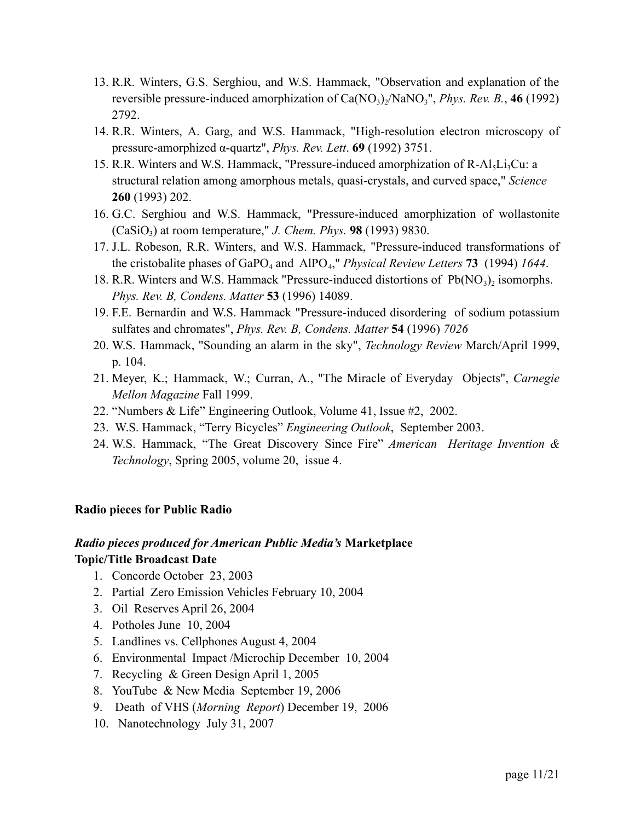- 13. R.R. Winters, G.S. Serghiou, and W.S. Hammack, "Observation and explanation of the reversible pressure-induced amorphization of Ca(NO<sub>3</sub>)<sub>2</sub>/NaNO<sub>3</sub>", *Phys. Rev. B.*, 46 (1992) 2792.
- 14. R.R. Winters, A. Garg, and W.S. Hammack, "High-resolution electron microscopy of pressure-amorphized α-quartz", *Phys. Rev. Lett*. **69** (1992) 3751.
- 15. R.R. Winters and W.S. Hammack, "Pressure-induced amorphization of  $R-AI<sub>5</sub>Li<sub>3</sub>Cu: a$ structural relation among amorphous metals, quasi-crystals, and curved space," *Science* **260** (1993) 202.
- 16. G.C. Serghiou and W.S. Hammack, "Pressure-induced amorphization of wollastonite  $(CaSiO<sub>3</sub>)$  at room temperature," *J. Chem. Phys.* **98** (1993) 9830.
- 17. J.L. Robeson, R.R. Winters, and W.S. Hammack, "Pressure-induced transformations of the cristobalite phases of GaPO<sub>4</sub> and AlPO<sub>4</sub>," *Physical Review Letters* **73** (1994) *1644*.
- 18. R.R. Winters and W.S. Hammack "Pressure-induced distortions of  $Pb(NO<sub>3</sub>)<sub>2</sub>$  isomorphs. *Phys. Rev. B, Condens. Matter* **53** (1996) 14089.
- 19. F.E. Bernardin and W.S. Hammack "Pressure-induced disordering of sodium potassium sulfates and chromates", *Phys. Rev. B, Condens. Matter* **54** (1996) *7026*
- 20. W.S. Hammack, "Sounding an alarm in the sky", *Technology Review* March/April 1999, p. 104.
- 21. Meyer, K.; Hammack, W.; Curran, A., "The Miracle of Everyday Objects", *Carnegie Mellon Magazine* Fall 1999.
- 22. "Numbers & Life" Engineering Outlook, Volume 41, Issue #2, 2002.
- 23. W.S. Hammack, "Terry Bicycles" *Engineering Outlook*, September 2003.
- 24. W.S. Hammack, "The Great Discovery Since Fire" *American Heritage Invention & Technology*, Spring 2005, volume 20, issue 4.

#### **Radio pieces for Public Radio**

#### *Radio pieces produced for American Public Media's* **Marketplace**

#### **Topic/Title Broadcast Date**

- 1. Concorde October 23, 2003
- 2. Partial Zero Emission Vehicles February 10, 2004
- 3. Oil Reserves April 26, 2004
- 4. Potholes June 10, 2004
- 5. Landlines vs. Cellphones August 4, 2004
- 6. Environmental Impact /Microchip December 10, 2004
- 7. Recycling & Green Design April 1, 2005
- 8. YouTube & New Media September 19, 2006
- 9. Death of VHS (*Morning Report*) December 19, 2006
- 10. Nanotechnology July 31, 2007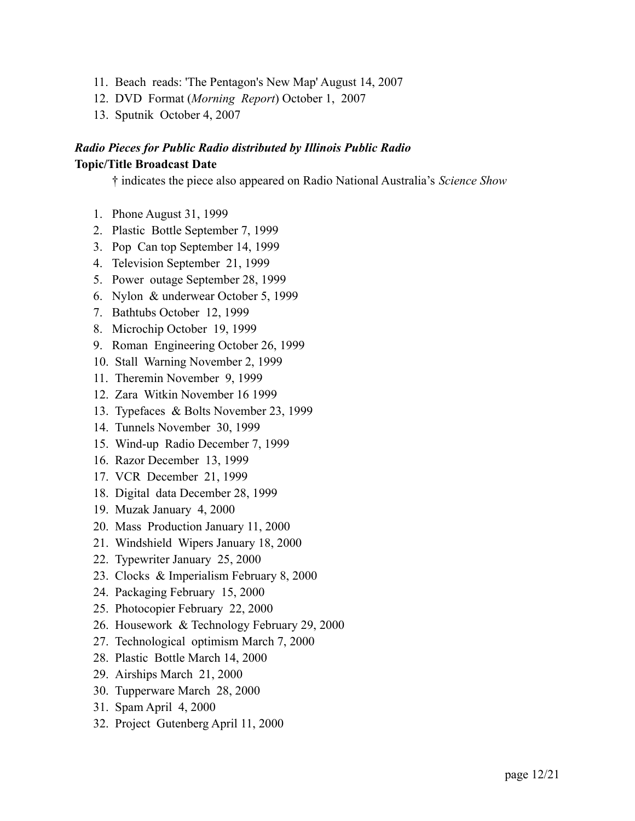- 11. Beach reads: 'The Pentagon's New Map' August 14, 2007
- 12. DVD Format (*Morning Report*) October 1, 2007
- 13. Sputnik October 4, 2007

# *Radio Pieces for Public Radio distributed by Illinois Public Radio* **Topic/Title Broadcast Date**

† indicates the piece also appeared on Radio National Australia's *Science Show*

- 1. Phone August 31, 1999
- 2. Plastic Bottle September 7, 1999
- 3. Pop Can top September 14, 1999
- 4. Television September 21, 1999
- 5. Power outage September 28, 1999
- 6. Nylon & underwear October 5, 1999
- 7. Bathtubs October 12, 1999
- 8. Microchip October 19, 1999
- 9. Roman Engineering October 26, 1999
- 10. Stall Warning November 2, 1999
- 11. Theremin November 9, 1999
- 12. Zara Witkin November 16 1999
- 13. Typefaces & Bolts November 23, 1999
- 14. Tunnels November 30, 1999
- 15. Wind-up Radio December 7, 1999
- 16. Razor December 13, 1999
- 17. VCR December 21, 1999
- 18. Digital data December 28, 1999
- 19. Muzak January 4, 2000
- 20. Mass Production January 11, 2000
- 21. Windshield Wipers January 18, 2000
- 22. Typewriter January 25, 2000
- 23. Clocks & Imperialism February 8, 2000
- 24. Packaging February 15, 2000
- 25. Photocopier February 22, 2000
- 26. Housework & Technology February 29, 2000
- 27. Technological optimism March 7, 2000
- 28. Plastic Bottle March 14, 2000
- 29. Airships March 21, 2000
- 30. Tupperware March 28, 2000
- 31. Spam April 4, 2000
- 32. Project Gutenberg April 11, 2000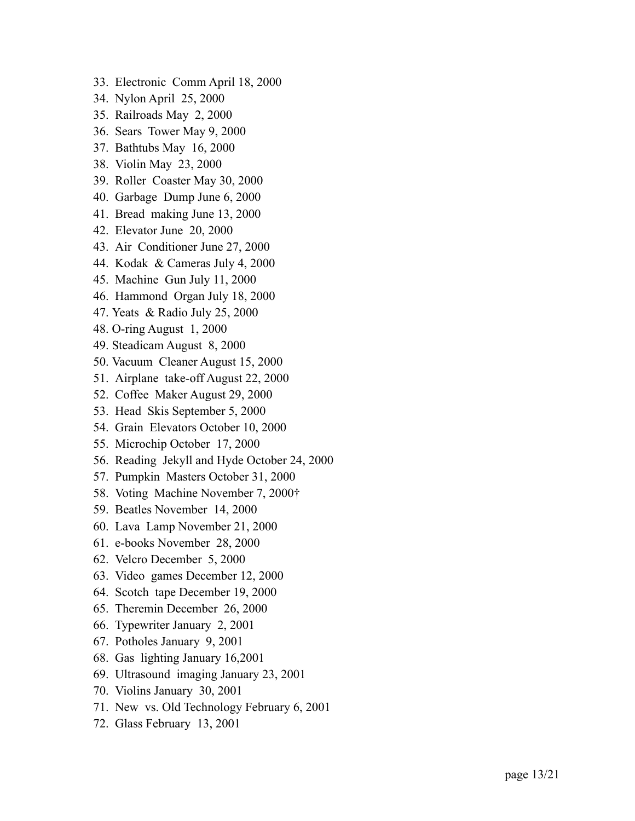- 33. Electronic Comm April 18, 2000
- 34. Nylon April 25, 2000
- 35. Railroads May 2, 2000
- 36. Sears Tower May 9, 2000
- 37. Bathtubs May 16, 2000
- 38. Violin May 23, 2000
- 39. Roller Coaster May 30, 2000
- 40. Garbage Dump June 6, 2000
- 41. Bread making June 13, 2000
- 42. Elevator June 20, 2000
- 43. Air Conditioner June 27, 2000
- 44. Kodak & Cameras July 4, 2000
- 45. Machine Gun July 11, 2000
- 46. Hammond Organ July 18, 2000
- 47. Yeats & Radio July 25, 2000
- 48. O-ring August 1, 2000
- 49. Steadicam August 8, 2000
- 50. Vacuum Cleaner August 15, 2000
- 51. Airplane take-off August 22, 2000
- 52. Coffee Maker August 29, 2000
- 53. Head Skis September 5, 2000
- 54. Grain Elevators October 10, 2000
- 55. Microchip October 17, 2000
- 56. Reading Jekyll and Hyde October 24, 2000
- 57. Pumpkin Masters October 31, 2000
- 58. Voting Machine November 7, 2000†
- 59. Beatles November 14, 2000
- 60. Lava Lamp November 21, 2000
- 61. e-books November 28, 2000
- 62. Velcro December 5, 2000
- 63. Video games December 12, 2000
- 64. Scotch tape December 19, 2000
- 65. Theremin December 26, 2000
- 66. Typewriter January 2, 2001
- 67. Potholes January 9, 2001
- 68. Gas lighting January 16,2001
- 69. Ultrasound imaging January 23, 2001
- 70. Violins January 30, 2001
- 71. New vs. Old Technology February 6, 2001
- 72. Glass February 13, 2001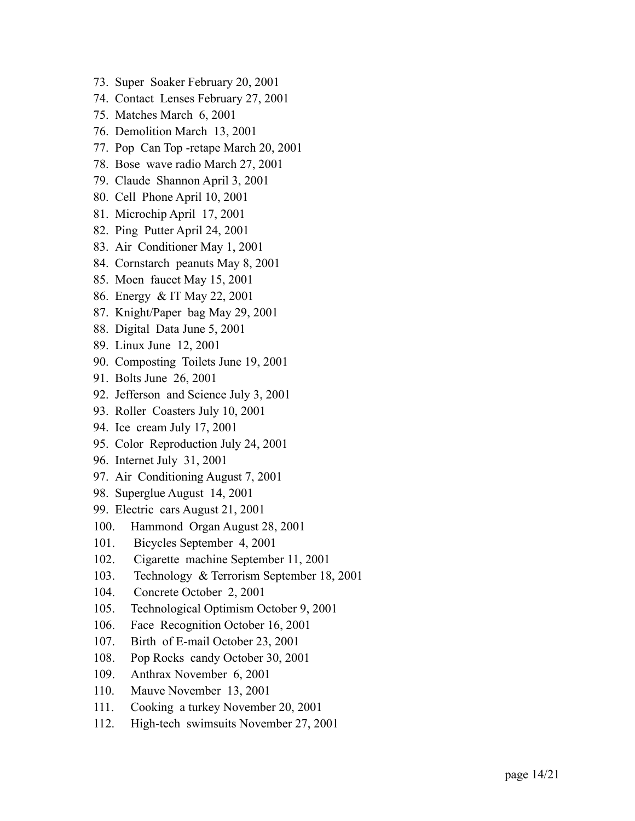- 73. Super Soaker February 20, 2001
- 74. Contact Lenses February 27, 2001
- 75. Matches March 6, 2001
- 76. Demolition March 13, 2001
- 77. Pop Can Top -retape March 20, 2001
- 78. Bose wave radio March 27, 2001
- 79. Claude Shannon April 3, 2001
- 80. Cell Phone April 10, 2001
- 81. Microchip April 17, 2001
- 82. Ping Putter April 24, 2001
- 83. Air Conditioner May 1, 2001
- 84. Cornstarch peanuts May 8, 2001
- 85. Moen faucet May 15, 2001
- 86. Energy & IT May 22, 2001
- 87. Knight/Paper bag May 29, 2001
- 88. Digital Data June 5, 2001
- 89. Linux June 12, 2001
- 90. Composting Toilets June 19, 2001
- 91. Bolts June 26, 2001
- 92. Jefferson and Science July 3, 2001
- 93. Roller Coasters July 10, 2001
- 94. Ice cream July 17, 2001
- 95. Color Reproduction July 24, 2001
- 96. Internet July 31, 2001
- 97. Air Conditioning August 7, 2001
- 98. Superglue August 14, 2001
- 99. Electric cars August 21, 2001
- 100. Hammond Organ August 28, 2001
- 101. Bicycles September 4, 2001
- 102. Cigarette machine September 11, 2001
- 103. Technology & Terrorism September 18, 2001
- 104. Concrete October 2, 2001
- 105. Technological Optimism October 9, 2001
- 106. Face Recognition October 16, 2001
- 107. Birth of E-mail October 23, 2001
- 108. Pop Rocks candy October 30, 2001
- 109. Anthrax November 6, 2001
- 110. Mauve November 13, 2001
- 111. Cooking a turkey November 20, 2001
- 112. High-tech swimsuits November 27, 2001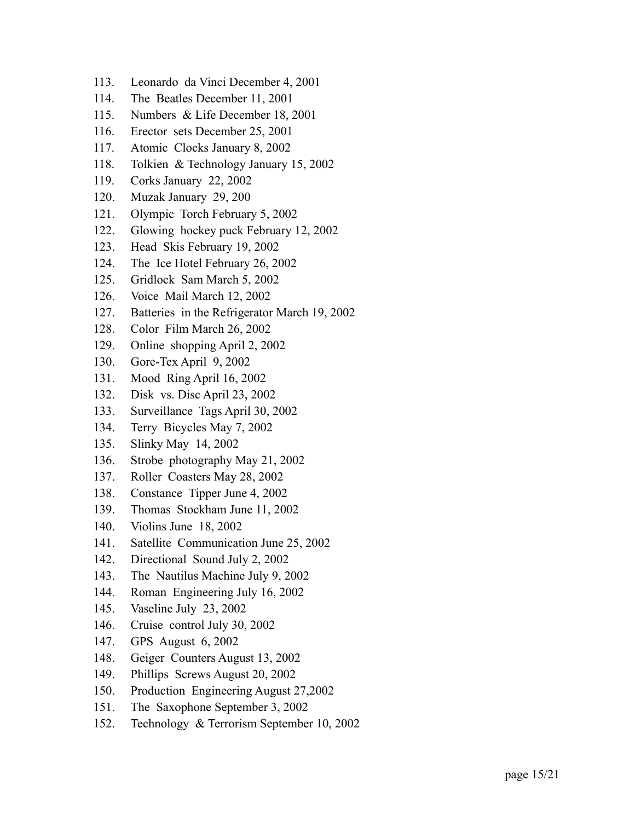- 113. Leonardo da Vinci December 4, 2001
- 114. The Beatles December 11, 2001
- 115. Numbers & Life December 18, 2001
- 116. Erector sets December 25, 2001
- 117. Atomic Clocks January 8, 2002
- 118. Tolkien & Technology January 15, 2002
- 119. Corks January 22, 2002
- 120. Muzak January 29, 200
- 121. Olympic Torch February 5, 2002
- 122. Glowing hockey puck February 12, 2002
- 123. Head Skis February 19, 2002
- 124. The Ice Hotel February 26, 2002
- 125. Gridlock Sam March 5, 2002
- 126. Voice Mail March 12, 2002
- 127. Batteries in the Refrigerator March 19, 2002
- 128. Color Film March 26, 2002
- 129. Online shopping April 2, 2002
- 130. Gore-Tex April 9, 2002
- 131. Mood Ring April 16, 2002
- 132. Disk vs. Disc April 23, 2002
- 133. Surveillance Tags April 30, 2002
- 134. Terry Bicycles May 7, 2002
- 135. Slinky May 14, 2002
- 136. Strobe photography May 21, 2002
- 137. Roller Coasters May 28, 2002
- 138. Constance Tipper June 4, 2002
- 139. Thomas Stockham June 11, 2002
- 140. Violins June 18, 2002
- 141. Satellite Communication June 25, 2002
- 142. Directional Sound July 2, 2002
- 143. The Nautilus Machine July 9, 2002
- 144. Roman Engineering July 16, 2002
- 145. Vaseline July 23, 2002
- 146. Cruise control July 30, 2002
- 147. GPS August 6, 2002
- 148. Geiger Counters August 13, 2002
- 149. Phillips Screws August 20, 2002
- 150. Production Engineering August 27,2002
- 151. The Saxophone September 3, 2002
- 152. Technology & Terrorism September 10, 2002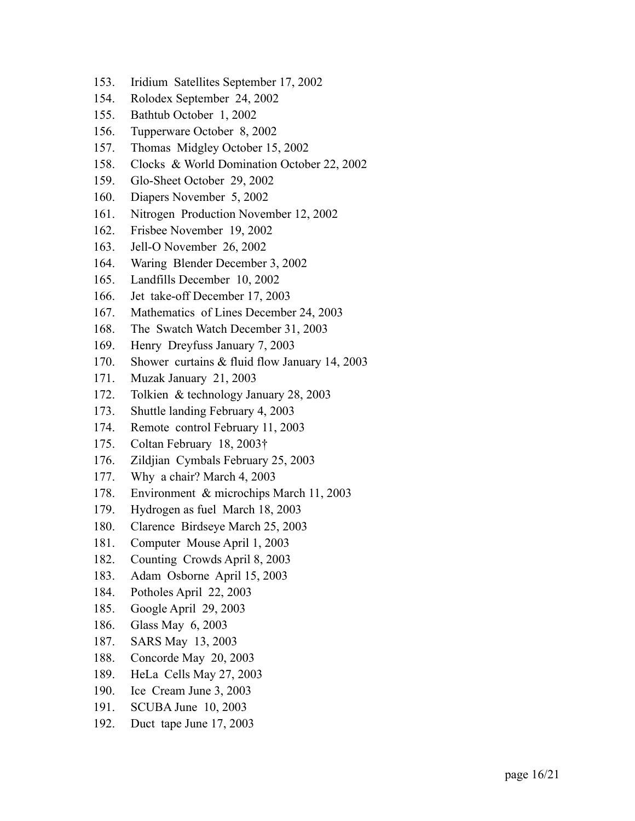- 153. Iridium Satellites September 17, 2002
- 154. Rolodex September 24, 2002
- 155. Bathtub October 1, 2002
- 156. Tupperware October 8, 2002
- 157. Thomas Midgley October 15, 2002
- 158. Clocks & World Domination October 22, 2002
- 159. Glo-Sheet October 29, 2002
- 160. Diapers November 5, 2002
- 161. Nitrogen Production November 12, 2002
- 162. Frisbee November 19, 2002
- 163. Jell-O November 26, 2002
- 164. Waring Blender December 3, 2002
- 165. Landfills December 10, 2002
- 166. Jet take-off December 17, 2003
- 167. Mathematics of Lines December 24, 2003
- 168. The Swatch Watch December 31, 2003
- 169. Henry Dreyfuss January 7, 2003
- 170. Shower curtains & fluid flow January 14, 2003
- 171. Muzak January 21, 2003
- 172. Tolkien & technology January 28, 2003
- 173. Shuttle landing February 4, 2003
- 174. Remote control February 11, 2003
- 175. Coltan February 18, 2003†
- 176. Zildjian Cymbals February 25, 2003
- 177. Why a chair? March 4, 2003
- 178. Environment & microchips March 11, 2003
- 179. Hydrogen as fuel March 18, 2003
- 180. Clarence Birdseye March 25, 2003
- 181. Computer Mouse April 1, 2003
- 182. Counting Crowds April 8, 2003
- 183. Adam Osborne April 15, 2003
- 184. Potholes April 22, 2003
- 185. Google April 29, 2003
- 186. Glass May 6, 2003
- 187. SARS May 13, 2003
- 188. Concorde May 20, 2003
- 189. HeLa Cells May 27, 2003
- 190. Ice Cream June 3, 2003
- 191. SCUBA June 10, 2003
- 192. Duct tape June 17, 2003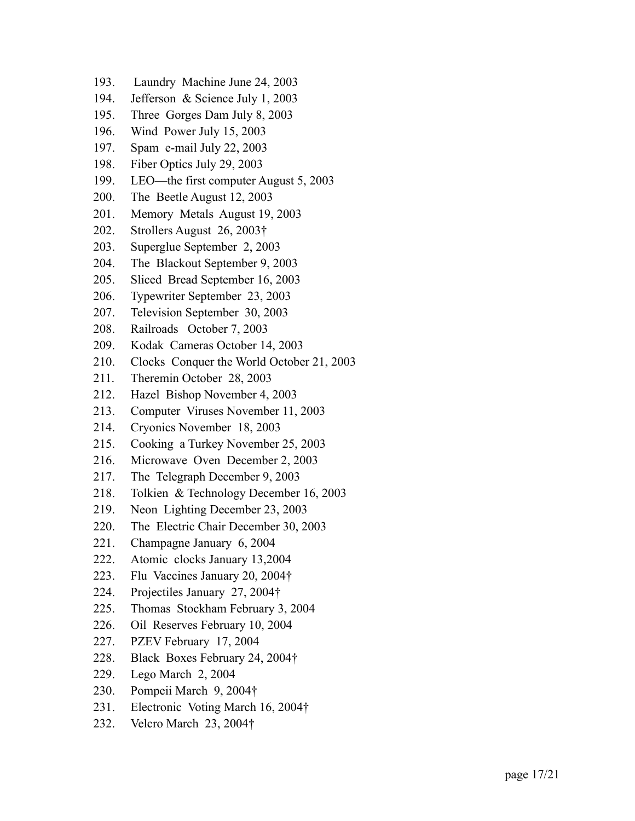- 193. Laundry Machine June 24, 2003
- 194. Jefferson & Science July 1, 2003
- 195. Three Gorges Dam July 8, 2003
- 196. Wind Power July 15, 2003
- 197. Spam e-mail July 22, 2003
- 198. Fiber Optics July 29, 2003
- 199. LEO—the first computer August 5, 2003
- 200. The Beetle August 12, 2003
- 201. Memory Metals August 19, 2003
- 202. Strollers August 26, 2003†
- 203. Superglue September 2, 2003
- 204. The Blackout September 9, 2003
- 205. Sliced Bread September 16, 2003
- 206. Typewriter September 23, 2003
- 207. Television September 30, 2003
- 208. Railroads October 7, 2003
- 209. Kodak Cameras October 14, 2003
- 210. Clocks Conquer the World October 21, 2003
- 211. Theremin October 28, 2003
- 212. Hazel Bishop November 4, 2003
- 213. Computer Viruses November 11, 2003
- 214. Cryonics November 18, 2003
- 215. Cooking a Turkey November 25, 2003
- 216. Microwave Oven December 2, 2003
- 217. The Telegraph December 9, 2003
- 218. Tolkien & Technology December 16, 2003
- 219. Neon Lighting December 23, 2003
- 220. The Electric Chair December 30, 2003
- 221. Champagne January 6, 2004
- 222. Atomic clocks January 13,2004
- $223.$ Flu Vaccines January 20, 2004†
- 224. Projectiles January 27, 2004†
- 225. Thomas Stockham February 3, 2004
- 226. Oil Reserves February 10, 2004
- 227. PZEV February 17, 2004
- 228. Black Boxes February 24, 2004†
- 229. Lego March 2, 2004
- 230. Pompeii March 9, 2004†
- 231. Electronic Voting March 16, 2004†
- 232. Velcro March 23, 2004†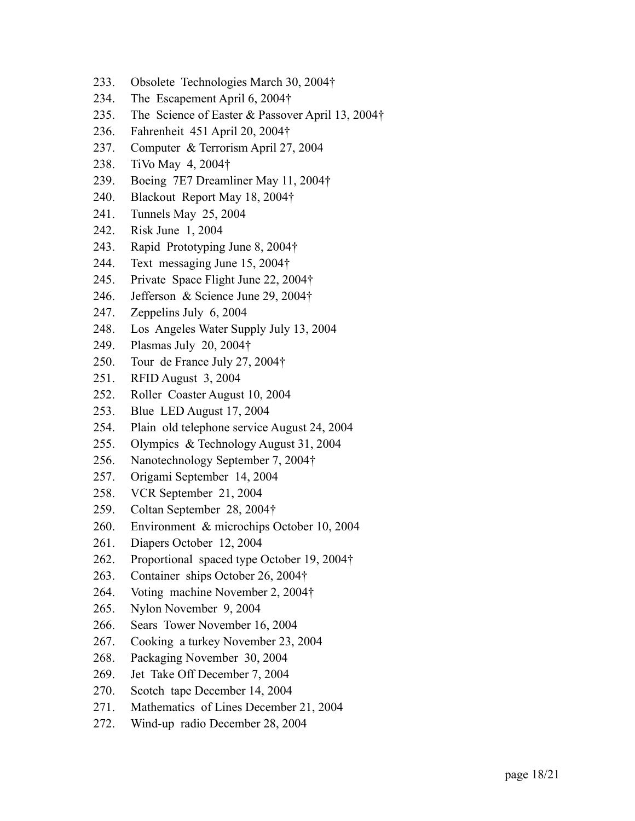- 233. Obsolete Technologies March 30, 2004†
- 234. The Escapement April 6, 2004†
- 235. The Science of Easter & Passover April 13, 2004†
- 236. Fahrenheit 451 April 20, 2004†
- 237. Computer & Terrorism April 27, 2004
- 238. TiVo May 4, 2004†
- 239. Boeing 7E7 Dreamliner May 11, 2004†
- 240. Blackout Report May 18, 2004†
- 241. Tunnels May 25, 2004
- 242. Risk June 1, 2004
- 243. Rapid Prototyping June 8, 2004†
- 244. Text messaging June 15, 2004†
- 245. Private Space Flight June 22, 2004†
- 246. Jefferson & Science June 29, 2004†
- 247. Zeppelins July 6, 2004
- 248. Los Angeles Water Supply July 13, 2004
- 249. Plasmas July 20, 2004†
- 250. Tour de France July 27, 2004†
- 251. RFID August 3, 2004
- 252. Roller Coaster August 10, 2004
- 253. Blue LED August 17, 2004
- 254. Plain old telephone service August 24, 2004
- 255. Olympics & Technology August 31, 2004
- 256. Nanotechnology September 7, 2004†
- 257. Origami September 14, 2004
- 258. VCR September 21, 2004
- 259. Coltan September 28, 2004†
- 260. Environment & microchips October 10, 2004
- 261. Diapers October 12, 2004
- 262. Proportional spaced type October 19, 2004†
- 263. Container ships October 26, 2004†
- 264. Voting machine November 2, 2004†
- 265. Nylon November 9, 2004
- 266. Sears Tower November 16, 2004
- 267. Cooking a turkey November 23, 2004
- 268. Packaging November 30, 2004
- 269. Jet Take Off December 7, 2004
- 270. Scotch tape December 14, 2004
- 271. Mathematics of Lines December 21, 2004
- 272. Wind-up radio December 28, 2004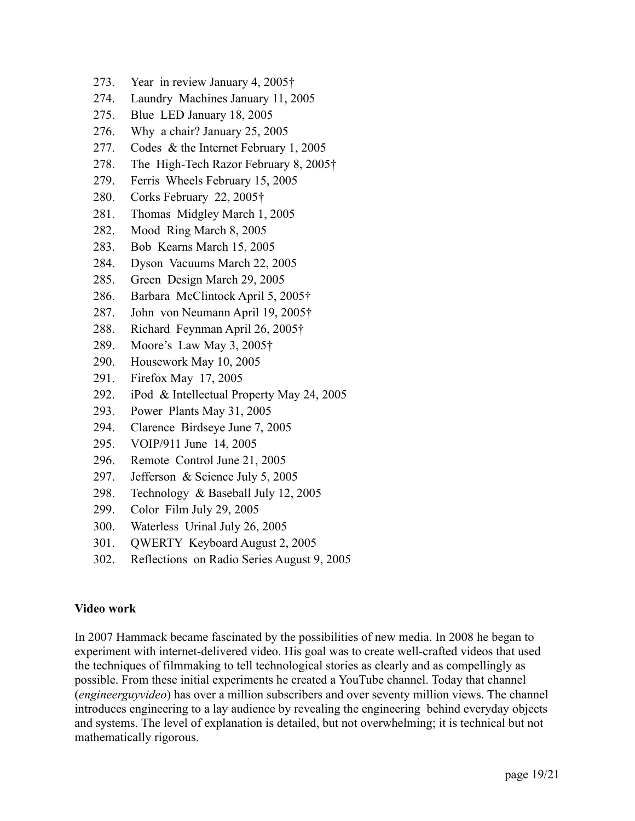- 273. Year in review January 4, 2005†
- 274. Laundry Machines January 11, 2005
- 275. Blue LED January 18, 2005
- 276. Why a chair? January 25, 2005
- 277. Codes & the Internet February 1, 2005
- 278. The High-Tech Razor February 8, 2005†
- 279. Ferris Wheels February 15, 2005
- 280. Corks February 22, 2005†
- 281. Thomas Midgley March 1, 2005
- 282. Mood Ring March 8, 2005
- 283. Bob Kearns March 15, 2005
- 284. Dyson Vacuums March 22, 2005
- 285. Green Design March 29, 2005
- 286. Barbara McClintock April 5, 2005†
- 287. John von Neumann April 19, 2005†
- 288. Richard Feynman April 26, 2005†
- 289. Moore's Law May 3, 2005†
- 290. Housework May 10, 2005
- 291. Firefox May 17, 2005
- 292. iPod & Intellectual Property May 24, 2005
- 293. Power Plants May 31, 2005
- 294. Clarence Birdseye June 7, 2005
- 295. VOIP/911 June 14, 2005
- 296. Remote Control June 21, 2005
- 297. Jefferson & Science July 5, 2005
- 298. Technology & Baseball July 12, 2005
- 299. Color Film July 29, 2005
- 300. Waterless Urinal July 26, 2005
- 301. QWERTY Keyboard August 2, 2005
- 302. Reflections on Radio Series August 9, 2005

# **Video work**

In 2007 Hammack became fascinated by the possibilities of new media. In 2008 he began to experiment with internet-delivered video. His goal was to create well-crafted videos that used the techniques of filmmaking to tell technological stories as clearly and as compellingly as possible. From these initial experiments he created a YouTube channel. Today that channel (*engineerguyvideo*) has over a million subscribers and over seventy million views. The channel introduces engineering to a lay audience by revealing the engineering behind everyday objects and systems. The level of explanation is detailed, but not overwhelming; it is technical but not mathematically rigorous.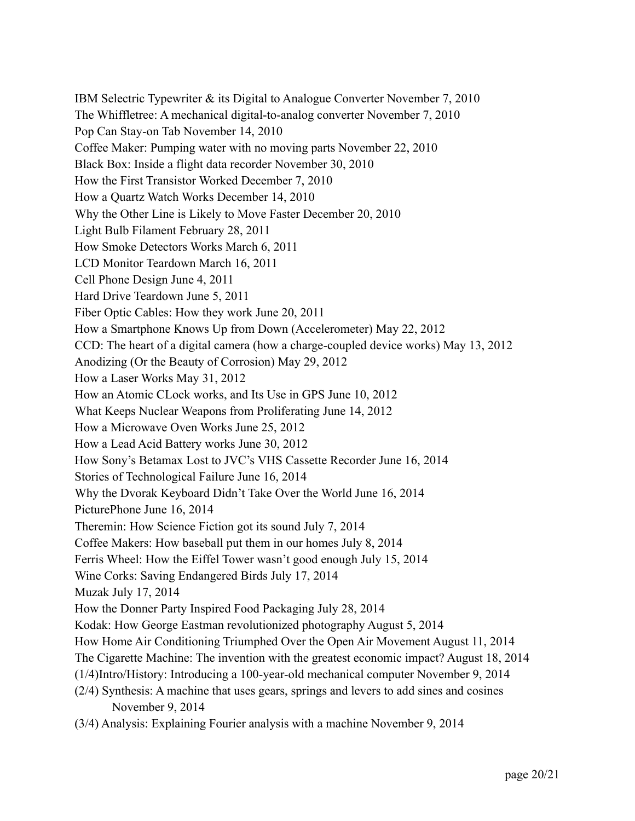IBM Selectric Typewriter & its Digital to Analogue Converter November 7, 2010 The Whiffletree: A mechanical digital-to-analog converter November 7, 2010 Pop Can Stay-on Tab November 14, 2010 Coffee Maker: Pumping water with no moving parts November 22, 2010 Black Box: Inside a flight data recorder November 30, 2010 How the First Transistor Worked December 7, 2010 How a Quartz Watch Works December 14, 2010 Why the Other Line is Likely to Move Faster December 20, 2010 Light Bulb Filament February 28, 2011 How Smoke Detectors Works March 6, 2011 LCD Monitor Teardown March 16, 2011 Cell Phone Design June 4, 2011 Hard Drive Teardown June 5, 2011 Fiber Optic Cables: How they work June 20, 2011 How a Smartphone Knows Up from Down (Accelerometer) May 22, 2012 CCD: The heart of a digital camera (how a charge-coupled device works) May 13, 2012 Anodizing (Or the Beauty of Corrosion) May 29, 2012 How a Laser Works May 31, 2012 How an Atomic CLock works, and Its Use in GPS June 10, 2012 What Keeps Nuclear Weapons from Proliferating June 14, 2012 How a Microwave Oven Works June 25, 2012 How a Lead Acid Battery works June 30, 2012 How Sony's Betamax Lost to JVC's VHS Cassette Recorder June 16, 2014 Stories of Technological Failure June 16, 2014 Why the Dvorak Keyboard Didn't Take Over the World June 16, 2014 PicturePhone June 16, 2014 Theremin: How Science Fiction got its sound July 7, 2014 Coffee Makers: How baseball put them in our homes July 8, 2014 Ferris Wheel: How the Eiffel Tower wasn't good enough July 15, 2014 Wine Corks: Saving Endangered Birds July 17, 2014 Muzak July 17, 2014 How the Donner Party Inspired Food Packaging July 28, 2014 Kodak: How George Eastman revolutionized photography August 5, 2014 How Home Air Conditioning Triumphed Over the Open Air Movement August 11, 2014 The Cigarette Machine: The invention with the greatest economic impact? August 18, 2014 (1/4)Intro/History: Introducing a 100-year-old mechanical computer November 9, 2014 (2/4) Synthesis: A machine that uses gears, springs and levers to add sines and cosines November 9, 2014 (3/4) Analysis: Explaining Fourier analysis with a machine November 9, 2014